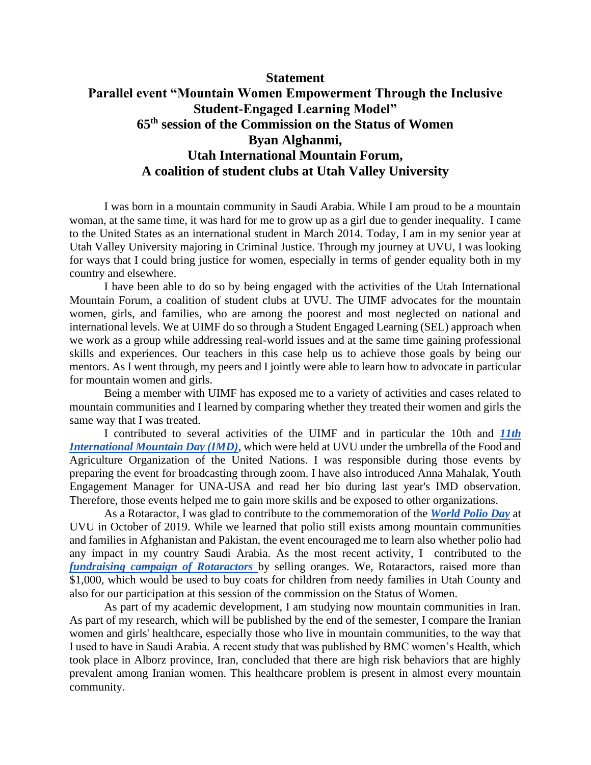## **Statement**

## **Parallel event "Mountain Women Empowerment Through the Inclusive Student-Engaged Learning Model" 65th session of the Commission on the Status of Women Byan Alghanmi, Utah International Mountain Forum, A coalition of student clubs at Utah Valley University**

I was born in a mountain community in Saudi Arabia. While I am proud to be a mountain woman, at the same time, it was hard for me to grow up as a girl due to gender inequality. I came to the United States as an international student in March 2014. Today, I am in my senior year at Utah Valley University majoring in Criminal Justice. Through my journey at UVU, I was looking for ways that I could bring justice for women, especially in terms of gender equality both in my country and elsewhere.

I have been able to do so by being engaged with the activities of the Utah International Mountain Forum, a coalition of student clubs at UVU. The UIMF advocates for the mountain women, girls, and families, who are among the poorest and most neglected on national and international levels. We at UIMF do so through a Student Engaged Learning (SEL) approach when we work as a group while addressing real-world issues and at the same time gaining professional skills and experiences. Our teachers in this case help us to achieve those goals by being our mentors. As I went through, my peers and I jointly were able to learn how to advocate in particular for mountain women and girls.

Being a member with UIMF has exposed me to a variety of activities and cases related to mountain communities and I learned by comparing whether they treated their women and girls the same way that I was treated.

I contributed to several activities of the UIMF and in particular the 10th and *[11th](http://utahimf.org/archives/5797)  [International Mountain Day \(IMD\)](http://utahimf.org/archives/5797)*, which were held at UVU under the umbrella of the Food and Agriculture Organization of the United Nations. I was responsible during those events by preparing the event for broadcasting through zoom. I have also introduced Anna Mahalak, Youth Engagement Manager for UNA-USA and read her bio during last year's IMD observation. Therefore, those events helped me to gain more skills and be exposed to other organizations.

As a Rotaractor, I was glad to contribute to the commemoration of the *[World Polio Day](http://utahimf.org/archives/5165)* at UVU in October of 2019. While we learned that polio still exists among mountain communities and families in Afghanistan and Pakistan, the event encouraged me to learn also whether polio had any impact in my country Saudi Arabia. As the most recent activity, I contributed to the *[fundraising campaign of Rotaractors](http://utahimf.org/recent-events)* [b](http://utahimf.org/recent-events)y selling oranges. We, Rotaractors, raised more than \$1,000, which would be used to buy coats for children from needy families in Utah County and also for our participation at this session of the commission on the Status of Women.

As part of my academic development, I am studying now mountain communities in Iran. As part of my research, which will be published by the end of the semester, I compare the Iranian women and girls' healthcare, especially those who live in mountain communities, to the way that I used to have in Saudi Arabia. A recent study that was published by BMC women's Health, which took place in Alborz province, Iran, concluded that there are high risk behaviors that are highly prevalent among Iranian women. This healthcare problem is present in almost every mountain community.